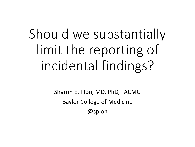# Should we substantially limit the reporting of incidental findings?

Sharon E. Plon, MD, PhD, FACMG Baylor College of Medicine @splon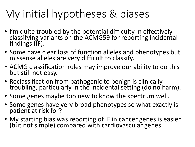### My initial hypotheses & biases

- I'm quite troubled by the potential difficulty in effectively classifying variants on the ACMG59 for reporting incidental findings  $(F)$ .
- Some have clear loss of function alleles and phenotypes but missense alleles are very difficult to classify.
- ACMG classification rules may improve our ability to do this but still not easy.
- Reclassification from pathogenic to benign is clinically troubling, particularly in the incidental setting (do no harm).
- Some genes maybe too new to know the spectrum well.
- Some genes have very broad phenotypes so what exactly is patient at risk for?
- My starting bias was reporting of IF in cancer genes is easier (but not simple) compared with cardiovascular genes.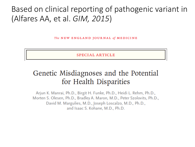#### Based on clinical reporting of pathogenic variant in (Alfares AA, et al. *GIM, 2015*)

The NEW ENGLAND JOURNAL of MEDICINE

**SPECIAL ARTICLE** 

#### Genetic Misdiagnoses and the Potential for Health Disparities

Arjun K. Manrai, Ph.D., Birgit H. Funke, Ph.D., Heidi L. Rehm, Ph.D., Morten S. Olesen, Ph.D., Bradley A. Maron, M.D., Peter Szolovits, Ph.D., David M. Margulies, M.D., Joseph Loscalzo, M.D., Ph.D., and Isaac S. Kohane, M.D., Ph.D.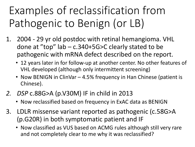## Examples of reclassification from Pathogenic to Benign (or LB)

- 1. 2004 29 yr old postdoc with retinal hemangioma. VHL done at "top"  $lab - c.340+5G > C$  clearly stated to be pathogenic with mRNA defect described on the report.
	- 12 years later in for follow-up at another center. No other features of VHL developed (although only intermittent screening)
	- Now BENIGN in ClinVar 4.5% frequency in Han Chinese (patient is Chinese).
- 2. *DSP* c.88G>A (p.V30M) IF in child in 2013
	- Now reclassified based on frequency in ExAC data as BENIGN
- 3. LDLR missense variant reported as pathogenic (c.58G>A) (p.G20R) in both symptomatic patient and IF
	- Now classified as VUS based on ACMG rules although still very rare and not completely clear to me why it was reclassified?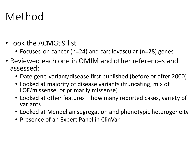#### Method

- Took the ACMG59 list
	- Focused on cancer (n=24) and cardiovascular (n=28) genes
- Reviewed each one in OMIM and other references and assessed:
	- Date gene-variant/disease first published (before or after 2000)
	- Looked at majority of disease variants (truncating, mix of LOF/missense, or primarily missense)
	- Looked at other features how many reported cases, variety of variants
	- Looked at Mendelian segregation and phenotypic heterogeneity
	- Presence of an Expert Panel in ClinVar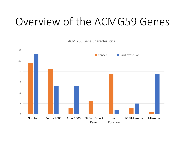#### Overview of the ACMG59 Genes

ACMG 59 Gene Characteristics

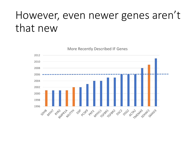#### However, even newer genes aren't that new

More Recently Described IF Genes

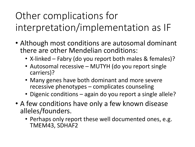#### Other complications for interpretation/implementation as IF

- Although most conditions are autosomal dominant there are other Mendelian conditions:
	- X-linked Fabry (do you report both males & females)?
	- Autosomal recessive MUTYH (do you report single carriers)?
	- Many genes have both dominant and more severe recessive phenotypes  $-$  complicates counseling
	- Digenic conditions again do you report a single allele?
- A few conditions have only a few known disease alleles/founders.
	- Perhaps only report these well documented ones, e.g. TMEM43, SDHAF2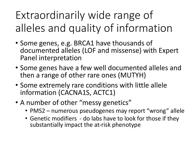Extraordinarily wide range of alleles and quality of information

- Some genes, e.g. BRCA1 have thousands of documented alleles (LOF and missense) with Expert Panel interpretation
- Some genes have a few well documented alleles and then a range of other rare ones (MUTYH)
- Some extremely rare conditions with little allele information (CACNA1S, ACTC1)
- A number of other "messy genetics"
	- PMS2 numerous pseudogenes may report "wrong" allele
	- Genetic modifiers do labs have to look for those if they substantially impact the at-risk phenotype